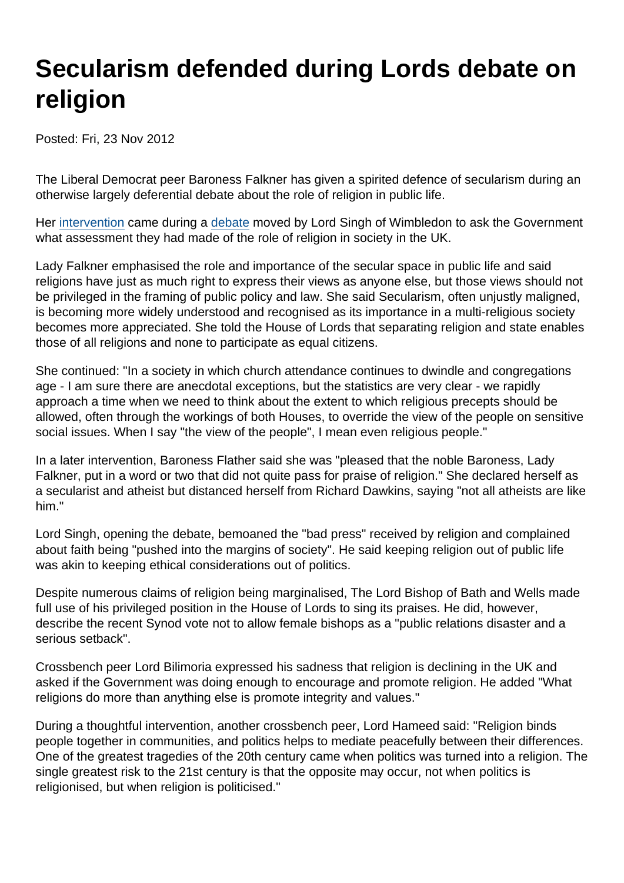# Secularism defended during Lords debate on religion

Posted: Fri, 23 Nov 2012

The Liberal Democrat peer Baroness Falkner has given a spirited defence of secularism during an otherwise largely deferential debate about the role of religion in public life.

Her [intervention](http://www.publications.parliament.uk/pa/ld201213/ldhansrd/text/121122-0003.htm#12112245000873) came during a [debate](http://www.publications.parliament.uk/pa/ld201213/ldhansrd/text/121122-0003.htm#12112245000890) moved by Lord Singh of Wimbledon to ask the Government what assessment they had made of the role of religion in society in the UK.

Lady Falkner emphasised the role and importance of the secular space in public life and said religions have just as much right to express their views as anyone else, but those views should not be privileged in the framing of public policy and law. She said Secularism, often unjustly maligned, is becoming more widely understood and recognised as its importance in a multi-religious society becomes more appreciated. She told the House of Lords that separating religion and state enables those of all religions and none to participate as equal citizens.

She continued: "In a society in which church attendance continues to dwindle and congregations age - I am sure there are anecdotal exceptions, but the statistics are very clear - we rapidly approach a time when we need to think about the extent to which religious precepts should be allowed, often through the workings of both Houses, to override the view of the people on sensitive social issues. When I say "the view of the people", I mean even religious people."

In a later intervention, Baroness Flather said she was "pleased that the noble Baroness, Lady Falkner, put in a word or two that did not quite pass for praise of religion." She declared herself as a secularist and atheist but distanced herself from Richard Dawkins, saying "not all atheists are like him."

Lord Singh, opening the debate, bemoaned the "bad press" received by religion and complained about faith being "pushed into the margins of society". He said keeping religion out of public life was akin to keeping ethical considerations out of politics.

Despite numerous claims of religion being marginalised, The Lord Bishop of Bath and Wells made full use of his privileged position in the House of Lords to sing its praises. He did, however, describe the recent Synod vote not to allow female bishops as a "public relations disaster and a serious setback".

Crossbench peer Lord Bilimoria expressed his sadness that religion is declining in the UK and asked if the Government was doing enough to encourage and promote religion. He added "What religions do more than anything else is promote integrity and values."

During a thoughtful intervention, another crossbench peer, Lord Hameed said: "Religion binds people together in communities, and politics helps to mediate peacefully between their differences. One of the greatest tragedies of the 20th century came when politics was turned into a religion. The single greatest risk to the 21st century is that the opposite may occur, not when politics is religionised, but when religion is politicised."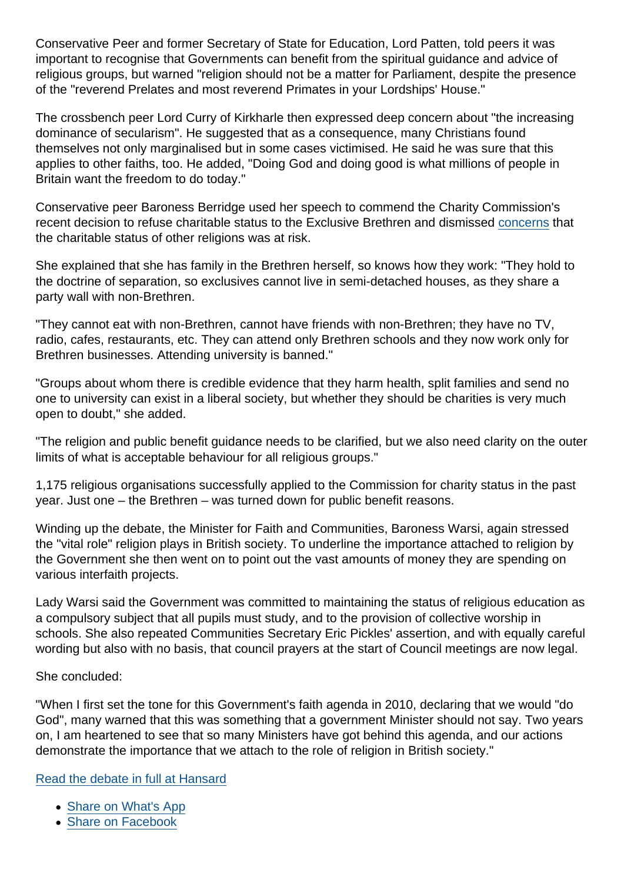Conservative Peer and former Secretary of State for Education, Lord Patten, told peers it was important to recognise that Governments can benefit from the spiritual guidance and advice of religious groups, but warned "religion should not be a matter for Parliament, despite the presence of the "reverend Prelates and most reverend Primates in your Lordships' House."

The crossbench peer Lord Curry of Kirkharle then expressed deep concern about "the increasing dominance of secularism". He suggested that as a consequence, many Christians found themselves not only marginalised but in some cases victimised. He said he was sure that this applies to other faiths, too. He added, "Doing God and doing good is what millions of people in Britain want the freedom to do today."

Conservative peer Baroness Berridge used her speech to commend the Charity Commission's recent decision to refuse charitable status to the Exclusive Brethren and dismissed [concerns](https://www.secularism.org.uk/news/2012/11/charity-commission-is-anti-religious-claims-tory-mp) that the charitable status of other religions was at risk.

She explained that she has family in the Brethren herself, so knows how they work: "They hold to the doctrine of separation, so exclusives cannot live in semi-detached houses, as they share a party wall with non-Brethren.

"They cannot eat with non-Brethren, cannot have friends with non-Brethren; they have no TV, radio, cafes, restaurants, etc. They can attend only Brethren schools and they now work only for Brethren businesses. Attending university is banned."

"Groups about whom there is credible evidence that they harm health, split families and send no one to university can exist in a liberal society, but whether they should be charities is very much open to doubt," she added.

"The religion and public benefit guidance needs to be clarified, but we also need clarity on the outer limits of what is acceptable behaviour for all religious groups."

1,175 religious organisations successfully applied to the Commission for charity status in the past year. Just one – the Brethren – was turned down for public benefit reasons.

Winding up the debate, the Minister for Faith and Communities, Baroness Warsi, again stressed the "vital role" religion plays in British society. To underline the importance attached to religion by the Government she then went on to point out the vast amounts of money they are spending on various interfaith projects.

Lady Warsi said the Government was committed to maintaining the status of religious education as a compulsory subject that all pupils must study, and to the provision of collective worship in schools. She also repeated Communities Secretary Eric Pickles' assertion, and with equally careful wording but also with no basis, that council prayers at the start of Council meetings are now legal.

She concluded:

"When I first set the tone for this Government's faith agenda in 2010, declaring that we would "do God", many warned that this was something that a government Minister should not say. Two years on, I am heartened to see that so many Ministers have got behind this agenda, and our actions demonstrate the importance that we attach to the role of religion in British society."

[Read the debate in full at Hansard](http://www.publications.parliament.uk/pa/ld201213/ldhansrd/text/121122-0003.htm#12112245000890)

- [Share on What's App](whatsapp://send?text=http://www.secularism.org.uk/news/2012/11/secularism-defended-during-lords-debate-on-religion?format=pdf)
- [Share on Facebook](https://www.facebook.com/sharer/sharer.php?u=http://www.secularism.org.uk/news/2012/11/secularism-defended-during-lords-debate-on-religion?format=pdf&t=Secularism+defended+during+Lords+debate+on+religion)